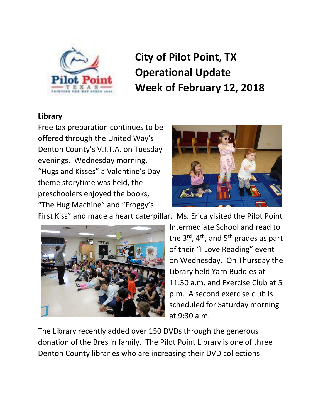

# **City of Pilot Point, TX Operational Update Week of February 12, 2018**

## **Library**

Free tax preparation continues to be offered through the United Way's Denton County's V.I.T.A. on Tuesday evenings. Wednesday morning, "Hugs and Kisses" a Valentine's Day theme storytime was held, the preschoolers enjoyed the books, "The Hug Machine" and "Froggy's



First Kiss" and made a heart caterpillar. Ms. Erica visited the Pilot Point



Intermediate School and read to the  $3^{rd}$ ,  $4^{th}$ , and  $5^{th}$  grades as part of their "I Love Reading" event on Wednesday. On Thursday the Library held Yarn Buddies at 11:30 a.m. and Exercise Club at 5 p.m. A second exercise club is scheduled for Saturday morning at 9:30 a.m.

The Library recently added over 150 DVDs through the generous donation of the Breslin family. The Pilot Point Library is one of three Denton County libraries who are increasing their DVD collections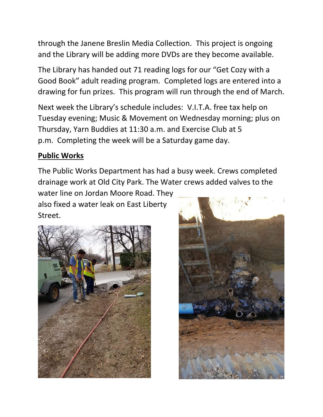through the Janene Breslin Media Collection. This project is ongoing and the Library will be adding more DVDs are they become available.

The Library has handed out 71 reading logs for our "Get Cozy with a Good Book" adult reading program. Completed logs are entered into a drawing for fun prizes. This program will run through the end of March.

Next week the Library's schedule includes: V.I.T.A. free tax help on Tuesday evening; Music & Movement on Wednesday morning; plus on Thursday, Yarn Buddies at 11:30 a.m. and Exercise Club at 5 p.m. Completing the week will be a Saturday game day.

# **Public Works**

The Public Works Department has had a busy week. Crews completed drainage work at Old City Park. The Water crews added valves to the

water line on Jordan Moore Road. They also fixed a water leak on East Liberty Street.



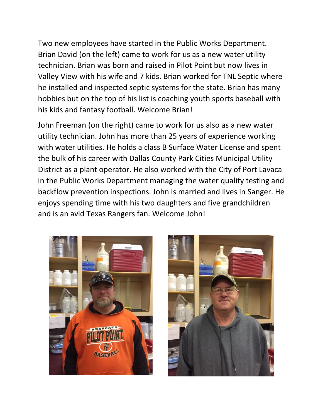Two new employees have started in the Public Works Department. Brian David (on the left) came to work for us as a new water utility technician. Brian was born and raised in Pilot Point but now lives in Valley View with his wife and 7 kids. Brian worked for TNL Septic where he installed and inspected septic systems for the state. Brian has many hobbies but on the top of his list is coaching youth sports baseball with his kids and fantasy football. Welcome Brian!

John Freeman (on the right) came to work for us also as a new water utility technician. John has more than 25 years of experience working with water utilities. He holds a class B Surface Water License and spent the bulk of his career with Dallas County Park Cities Municipal Utility District as a plant operator. He also worked with the City of Port Lavaca in the Public Works Department managing the water quality testing and backflow prevention inspections. John is married and lives in Sanger. He enjoys spending time with his two daughters and five grandchildren and is an avid Texas Rangers fan. Welcome John!



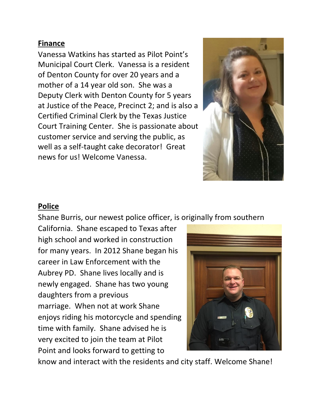#### **Finance**

Vanessa Watkins has started as Pilot Point's Municipal Court Clerk. Vanessa is a resident of Denton County for over 20 years and a mother of a 14 year old son. She was a Deputy Clerk with Denton County for 5 years at Justice of the Peace, Precinct 2; and is also a Certified Criminal Clerk by the Texas Justice Court Training Center. She is passionate about customer service and serving the public, as well as a self-taught cake decorator! Great news for us! Welcome Vanessa.



#### **Police**

Shane Burris, our newest police officer, is originally from southern

California. Shane escaped to Texas after high school and worked in construction for many years. In 2012 Shane began his career in Law Enforcement with the Aubrey PD. Shane lives locally and is newly engaged. Shane has two young daughters from a previous marriage. When not at work Shane enjoys riding his motorcycle and spending time with family. Shane advised he is very excited to join the team at Pilot Point and looks forward to getting to



know and interact with the residents and city staff. Welcome Shane!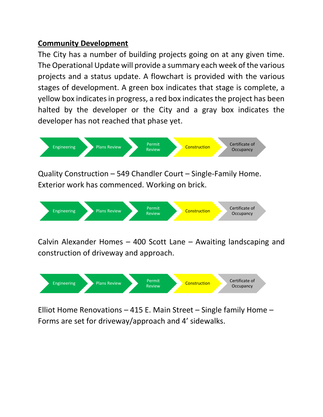### **Community Development**

The City has a number of building projects going on at any given time. The Operational Update will provide a summary each week of the various projects and a status update. A flowchart is provided with the various stages of development. A green box indicates that stage is complete, a yellow box indicates in progress, a red box indicates the project has been halted by the developer or the City and a gray box indicates the developer has not reached that phase yet.



Quality Construction – 549 Chandler Court – Single-Family Home. Exterior work has commenced. Working on brick.



Calvin Alexander Homes – 400 Scott Lane – Awaiting landscaping and construction of driveway and approach.



Elliot Home Renovations – 415 E. Main Street – Single family Home – Forms are set for driveway/approach and 4' sidewalks.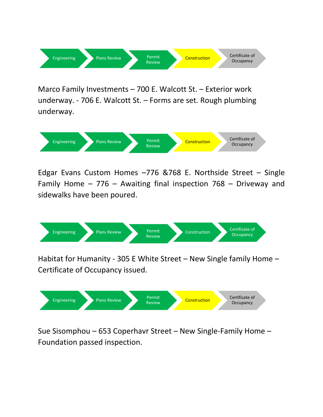

Marco Family Investments – 700 E. Walcott St. – Exterior work underway. - 706 E. Walcott St. – Forms are set. Rough plumbing underway.



Edgar Evans Custom Homes –776 &768 E. Northside Street – Single Family Home – 776 – Awaiting final inspection 768 – Driveway and sidewalks have been poured.



Habitat for Humanity - 305 E White Street – New Single family Home – Certificate of Occupancy issued.



Sue Sisomphou – 653 Coperhavr Street – New Single-Family Home – Foundation passed inspection.